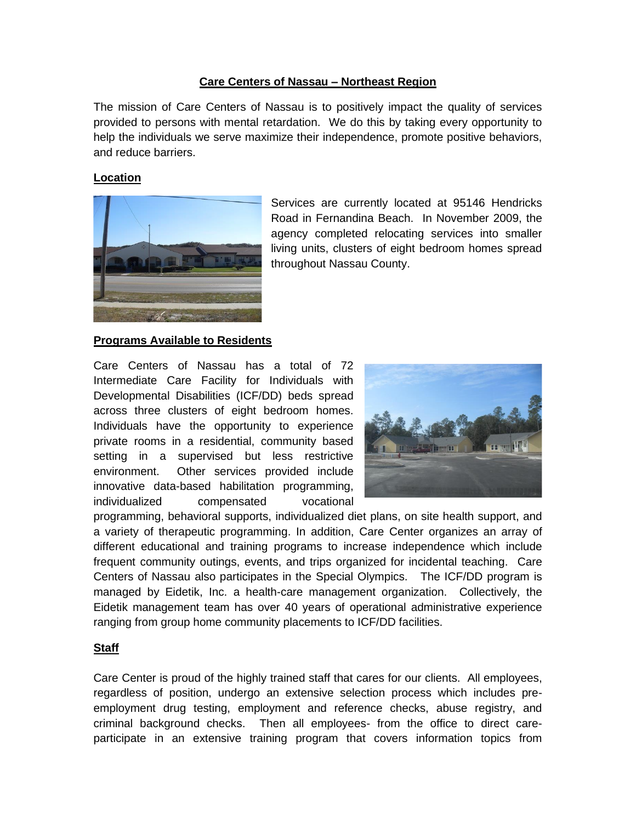### **Care Centers of Nassau – Northeast Region**

The mission of Care Centers of Nassau is to positively impact the quality of services provided to persons with mental retardation. We do this by taking every opportunity to help the individuals we serve maximize their independence, promote positive behaviors, and reduce barriers.

### **Location**



Services are currently located at 95146 Hendricks Road in Fernandina Beach. In November 2009, the agency completed relocating services into smaller living units, clusters of eight bedroom homes spread throughout Nassau County.

#### **Programs Available to Residents**

Care Centers of Nassau has a total of 72 Intermediate Care Facility for Individuals with Developmental Disabilities (ICF/DD) beds spread across three clusters of eight bedroom homes. Individuals have the opportunity to experience private rooms in a residential, community based setting in a supervised but less restrictive environment. Other services provided include innovative data-based habilitation programming, individualized compensated vocational



programming, behavioral supports, individualized diet plans, on site health support, and a variety of therapeutic programming. In addition, Care Center organizes an array of different educational and training programs to increase independence which include frequent community outings, events, and trips organized for incidental teaching. Care Centers of Nassau also participates in the Special Olympics. The ICF/DD program is managed by Eidetik, Inc. a health-care management organization. Collectively, the Eidetik management team has over 40 years of operational administrative experience ranging from group home community placements to ICF/DD facilities.

#### **Staff**

Care Center is proud of the highly trained staff that cares for our clients. All employees, regardless of position, undergo an extensive selection process which includes preemployment drug testing, employment and reference checks, abuse registry, and criminal background checks. Then all employees- from the office to direct careparticipate in an extensive training program that covers information topics from